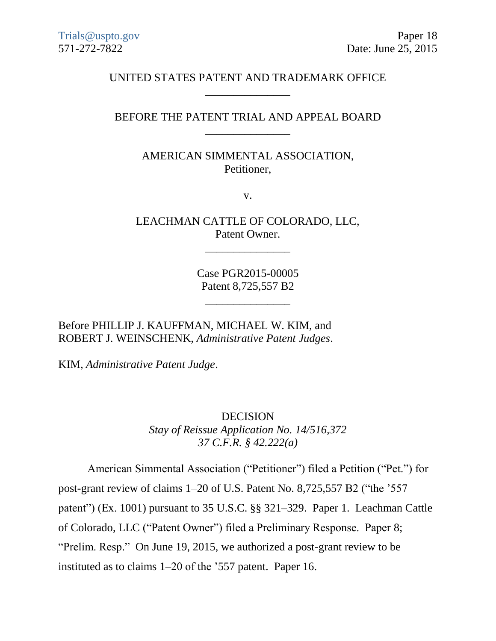## UNITED STATES PATENT AND TRADEMARK OFFICE \_\_\_\_\_\_\_\_\_\_\_\_\_\_\_

## BEFORE THE PATENT TRIAL AND APPEAL BOARD \_\_\_\_\_\_\_\_\_\_\_\_\_\_\_

## AMERICAN SIMMENTAL ASSOCIATION, Petitioner,

v.

LEACHMAN CATTLE OF COLORADO, LLC, Patent Owner.

\_\_\_\_\_\_\_\_\_\_\_\_\_\_\_

Case PGR2015-00005 Patent 8,725,557 B2

\_\_\_\_\_\_\_\_\_\_\_\_\_\_\_

Before PHILLIP J. KAUFFMAN, MICHAEL W. KIM, and ROBERT J. WEINSCHENK, *Administrative Patent Judges*.

KIM, *Administrative Patent Judge*.

DECISION *Stay of Reissue Application No. 14/516,372 37 C.F.R. § 42.222(a)*

American Simmental Association ("Petitioner") filed a Petition ("Pet.") for post-grant review of claims 1–20 of U.S. Patent No. 8,725,557 B2 ("the '557 patent") (Ex. 1001) pursuant to 35 U.S.C. §§ 321–329. Paper 1. Leachman Cattle of Colorado, LLC ("Patent Owner") filed a Preliminary Response. Paper 8; "Prelim. Resp." On June 19, 2015, we authorized a post-grant review to be instituted as to claims 1–20 of the '557 patent. Paper 16.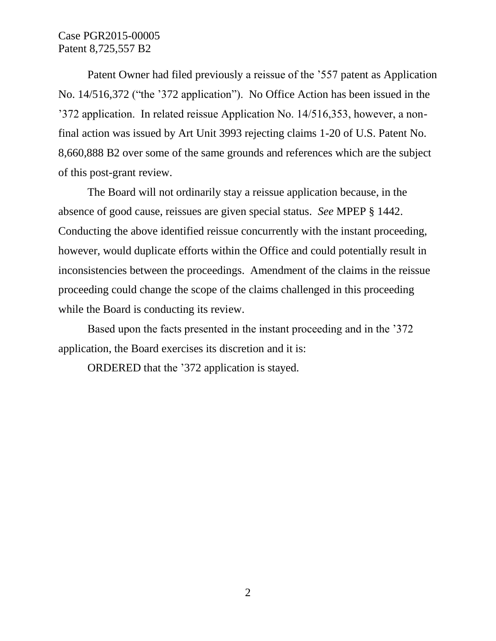## Case PGR2015-00005 Patent 8,725,557 B2

Patent Owner had filed previously a reissue of the '557 patent as Application No. 14/516,372 ("the '372 application"). No Office Action has been issued in the '372 application. In related reissue Application No. 14/516,353, however, a nonfinal action was issued by Art Unit 3993 rejecting claims 1-20 of U.S. Patent No. 8,660,888 B2 over some of the same grounds and references which are the subject of this post-grant review.

The Board will not ordinarily stay a reissue application because, in the absence of good cause, reissues are given special status. *See* MPEP § 1442. Conducting the above identified reissue concurrently with the instant proceeding, however, would duplicate efforts within the Office and could potentially result in inconsistencies between the proceedings. Amendment of the claims in the reissue proceeding could change the scope of the claims challenged in this proceeding while the Board is conducting its review.

Based upon the facts presented in the instant proceeding and in the '372 application, the Board exercises its discretion and it is:

ORDERED that the '372 application is stayed*.*